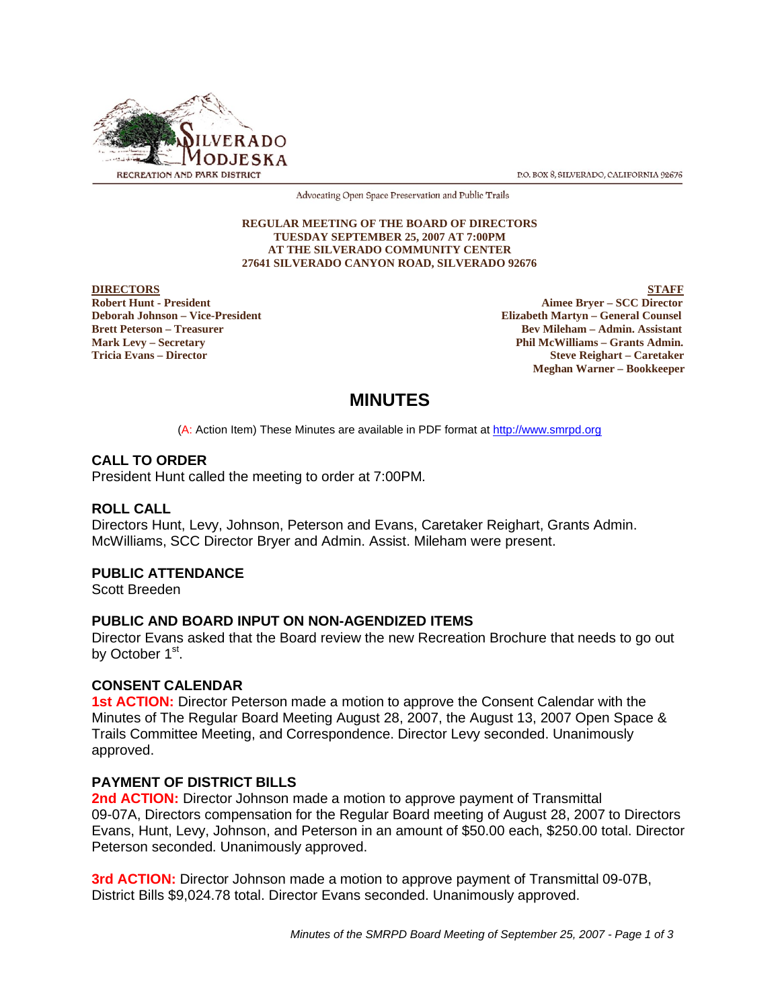

P.O. BOX 8, SILVERADO, CALIFORNIA 92676

Advocating Open Space Preservation and Public Trails

#### **REGULAR MEETING OF THE BOARD OF DIRECTORS TUESDAY SEPTEMBER 25, 2007 AT 7:00PM AT THE SILVERADO COMMUNITY CENTER 27641 SILVERADO CANYON ROAD, SILVERADO 92676**

**DIRECTORS** STAFF

**Robert Hunt - President Aimee Bryer – SCC Director Deborah Johnson – Vice-President Elizabeth Martyn – General Counsel Brett Peterson – Treasurer Bev Mileham – Admin. Assistant Mark Levy – Secretary Phil McWilliams – Grants Admin. Tricia Evans – Director Steve Reighart – Caretaker Meghan Warner – Bookkeeper**

# **MINUTES**

(A: Action Item) These Minutes are available in PDF format at http://www.smrpd.org

# **CALL TO ORDER**

President Hunt called the meeting to order at 7:00PM.

# **ROLL CALL**

Directors Hunt, Levy, Johnson, Peterson and Evans, Caretaker Reighart, Grants Admin. McWilliams, SCC Director Bryer and Admin. Assist. Mileham were present.

# **PUBLIC ATTENDANCE**

Scott Breeden

# **PUBLIC AND BOARD INPUT ON NON-AGENDIZED ITEMS**

Director Evans asked that the Board review the new Recreation Brochure that needs to go out by October 1<sup>st</sup>.

# **CONSENT CALENDAR**

**1st ACTION:** Director Peterson made a motion to approve the Consent Calendar with the Minutes of The Regular Board Meeting August 28, 2007, the August 13, 2007 Open Space & Trails Committee Meeting, and Correspondence. Director Levy seconded. Unanimously approved.

# **PAYMENT OF DISTRICT BILLS**

**2nd ACTION:** Director Johnson made a motion to approve payment of Transmittal 09-07A, Directors compensation for the Regular Board meeting of August 28, 2007 to Directors Evans, Hunt, Levy, Johnson, and Peterson in an amount of \$50.00 each, \$250.00 total. Director Peterson seconded. Unanimously approved.

**3rd ACTION:** Director Johnson made a motion to approve payment of Transmittal 09-07B, District Bills \$9,024.78 total. Director Evans seconded. Unanimously approved.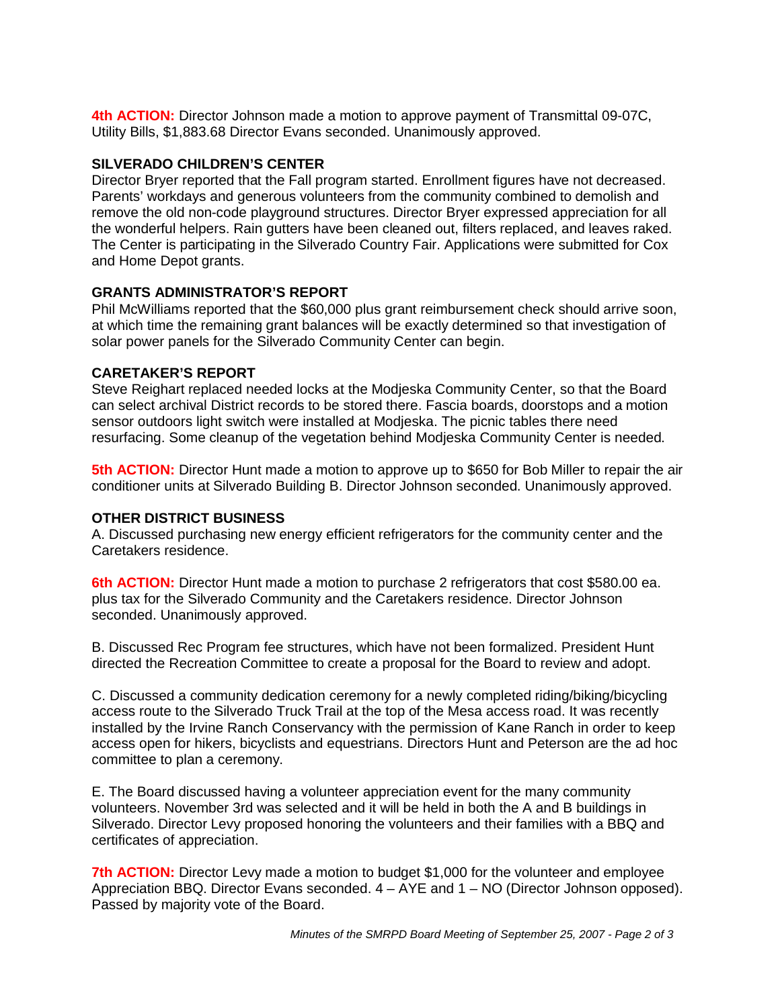**4th ACTION:** Director Johnson made a motion to approve payment of Transmittal 09-07C, Utility Bills, \$1,883.68 Director Evans seconded. Unanimously approved.

# **SILVERADO CHILDREN'S CENTER**

Director Bryer reported that the Fall program started. Enrollment figures have not decreased. Parents' workdays and generous volunteers from the community combined to demolish and remove the old non-code playground structures. Director Bryer expressed appreciation for all the wonderful helpers. Rain gutters have been cleaned out, filters replaced, and leaves raked. The Center is participating in the Silverado Country Fair. Applications were submitted for Cox and Home Depot grants.

# **GRANTS ADMINISTRATOR'S REPORT**

Phil McWilliams reported that the \$60,000 plus grant reimbursement check should arrive soon, at which time the remaining grant balances will be exactly determined so that investigation of solar power panels for the Silverado Community Center can begin.

# **CARETAKER'S REPORT**

Steve Reighart replaced needed locks at the Modjeska Community Center, so that the Board can select archival District records to be stored there. Fascia boards, doorstops and a motion sensor outdoors light switch were installed at Modjeska. The picnic tables there need resurfacing. Some cleanup of the vegetation behind Modjeska Community Center is needed.

**5th ACTION:** Director Hunt made a motion to approve up to \$650 for Bob Miller to repair the air conditioner units at Silverado Building B. Director Johnson seconded. Unanimously approved.

# **OTHER DISTRICT BUSINESS**

A. Discussed purchasing new energy efficient refrigerators for the community center and the Caretakers residence.

**6th ACTION:** Director Hunt made a motion to purchase 2 refrigerators that cost \$580.00 ea. plus tax for the Silverado Community and the Caretakers residence. Director Johnson seconded. Unanimously approved.

B. Discussed Rec Program fee structures, which have not been formalized. President Hunt directed the Recreation Committee to create a proposal for the Board to review and adopt.

C. Discussed a community dedication ceremony for a newly completed riding/biking/bicycling access route to the Silverado Truck Trail at the top of the Mesa access road. It was recently installed by the Irvine Ranch Conservancy with the permission of Kane Ranch in order to keep access open for hikers, bicyclists and equestrians. Directors Hunt and Peterson are the ad hoc committee to plan a ceremony.

E. The Board discussed having a volunteer appreciation event for the many community volunteers. November 3rd was selected and it will be held in both the A and B buildings in Silverado. Director Levy proposed honoring the volunteers and their families with a BBQ and certificates of appreciation.

**7th ACTION:** Director Levy made a motion to budget \$1,000 for the volunteer and employee Appreciation BBQ. Director Evans seconded. 4 – AYE and 1 – NO (Director Johnson opposed). Passed by majority vote of the Board.